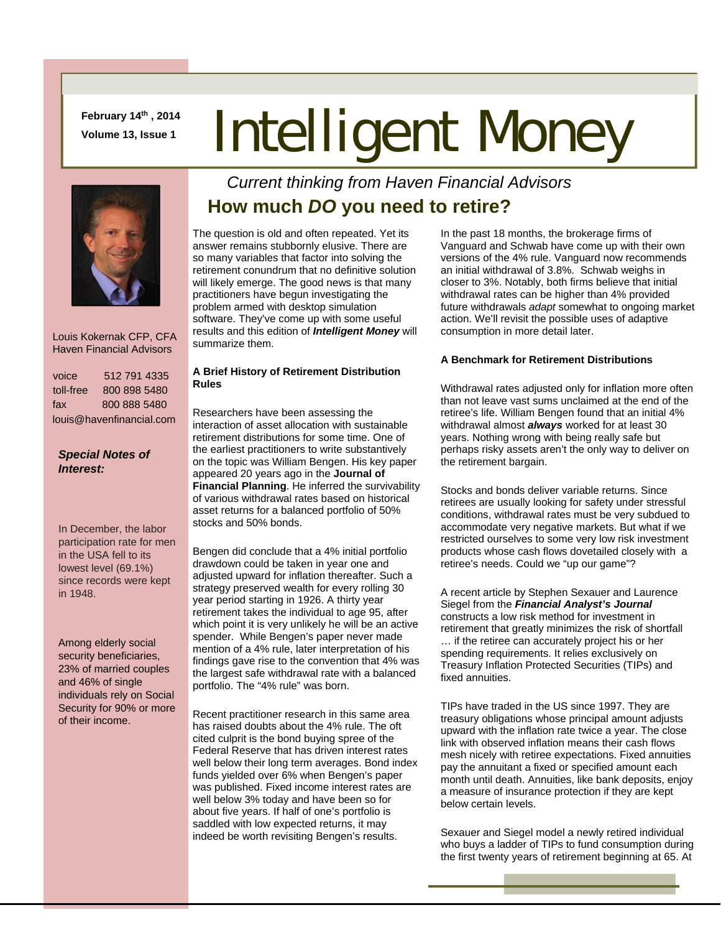**February 14th , 2014** 

# February 14<sup>th</sup>, 2014 **Intelligent Money**



 Louis Kokernak CFP, CFA Haven Financial Advisors

| voice                    | 512 791 4335 |  |
|--------------------------|--------------|--|
| toll-free                | 800 898 5480 |  |
| fax                      | 800 888 5480 |  |
| louis@havenfinancial.com |              |  |

#### *Special Notes of Interest:*

In December, the labor participation rate for men in the USA fell to its lowest level (69.1%) since records were kept in 1948.

Among elderly social security beneficiaries, 23% of married couples and 46% of single individuals rely on Social Security for 90% or more of their income.

## *Current thinking from Haven Financial Advisors*  **How much** *DO* **you need to retire?**

The question is old and often repeated. Yet its answer remains stubbornly elusive. There are so many variables that factor into solving the retirement conundrum that no definitive solution will likely emerge. The good news is that many practitioners have begun investigating the problem armed with desktop simulation software. They've come up with some useful results and this edition of *Intelligent Money* will summarize them.

#### **A Brief History of Retirement Distribution Rules**

Researchers have been assessing the interaction of asset allocation with sustainable retirement distributions for some time. One of the earliest practitioners to write substantively on the topic was William Bengen. His key paper appeared 20 years ago in the **Journal of Financial Planning**. He inferred the survivability of various withdrawal rates based on historical asset returns for a balanced portfolio of 50% stocks and 50% bonds.

Bengen did conclude that a 4% initial portfolio drawdown could be taken in year one and adjusted upward for inflation thereafter. Such a strategy preserved wealth for every rolling 30 year period starting in 1926. A thirty year retirement takes the individual to age 95, after which point it is very unlikely he will be an active spender. While Bengen's paper never made mention of a 4% rule, later interpretation of his findings gave rise to the convention that 4% was the largest safe withdrawal rate with a balanced portfolio. The "4% rule" was born.

Recent practitioner research in this same area has raised doubts about the 4% rule. The oft cited culprit is the bond buying spree of the Federal Reserve that has driven interest rates well below their long term averages. Bond index funds yielded over 6% when Bengen's paper was published. Fixed income interest rates are well below 3% today and have been so for about five years. If half of one's portfolio is saddled with low expected returns, it may indeed be worth revisiting Bengen's results.

In the past 18 months, the brokerage firms of Vanguard and Schwab have come up with their own versions of the 4% rule. Vanguard now recommends an initial withdrawal of 3.8%. Schwab weighs in closer to 3%. Notably, both firms believe that initial withdrawal rates can be higher than 4% provided future withdrawals *adapt* somewhat to ongoing market action. We'll revisit the possible uses of adaptive consumption in more detail later.

### **A Benchmark for Retirement Distributions**

Withdrawal rates adjusted only for inflation more often than not leave vast sums unclaimed at the end of the retiree's life. William Bengen found that an initial 4% withdrawal almost *always* worked for at least 30 years. Nothing wrong with being really safe but perhaps risky assets aren't the only way to deliver on the retirement bargain.

Stocks and bonds deliver variable returns. Since retirees are usually looking for safety under stressful conditions, withdrawal rates must be very subdued to accommodate very negative markets. But what if we restricted ourselves to some very low risk investment products whose cash flows dovetailed closely with a retiree's needs. Could we "up our game"?

A recent article by Stephen Sexauer and Laurence Siegel from the *Financial Analyst's Journal* constructs a low risk method for investment in retirement that greatly minimizes the risk of shortfall … if the retiree can accurately project his or her spending requirements. It relies exclusively on Treasury Inflation Protected Securities (TIPs) and fixed annuities.

TIPs have traded in the US since 1997. They are treasury obligations whose principal amount adjusts upward with the inflation rate twice a year. The close link with observed inflation means their cash flows mesh nicely with retiree expectations. Fixed annuities pay the annuitant a fixed or specified amount each month until death. Annuities, like bank deposits, enjoy a measure of insurance protection if they are kept below certain levels.

Sexauer and Siegel model a newly retired individual who buys a ladder of TIPs to fund consumption during the first twenty years of retirement beginning at 65. At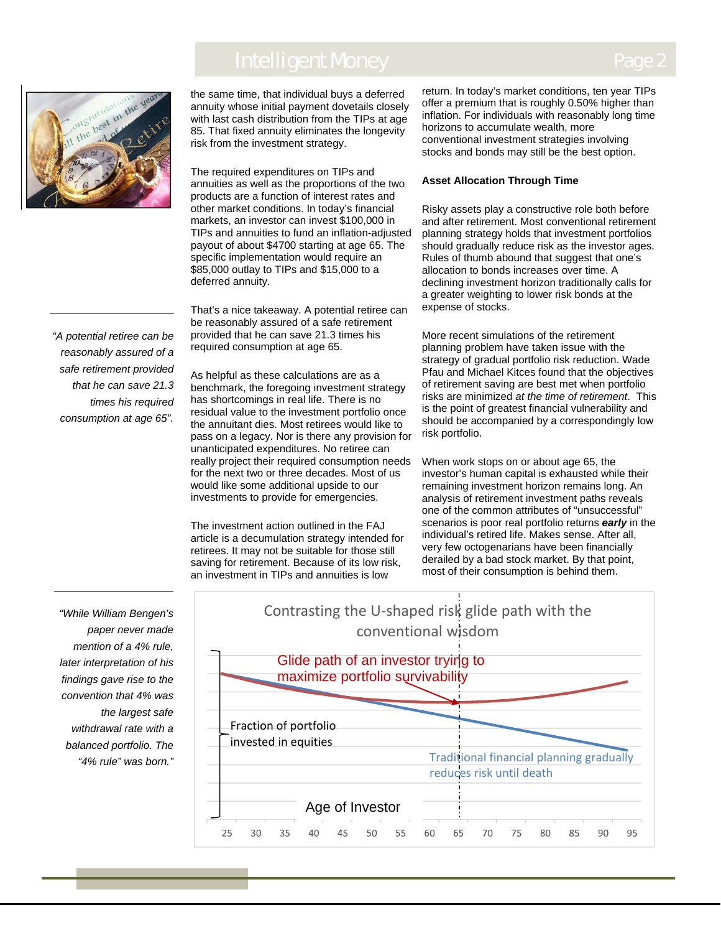# **Intelligent Money**



the same time, that individual buys a deferred annuity whose initial payment dovetails closely with last cash distribution from the TIPs at age 85. That fixed annuity eliminates the longevity risk from the investment strategy.

The required expenditures on TIPs and annuities as well as the proportions of the two products are a function of interest rates and other market conditions. In today's financial markets, an investor can invest \$100,000 in TIPs and annuities to fund an inflation-adjusted payout of about \$4700 starting at age 65. The specific implementation would require an \$85,000 outlay to TIPs and \$15,000 to a deferred annuity.

That's a nice takeaway. A potential retiree can be reasonably assured of a safe retirement provided that he can save 21.3 times his required consumption at age 65.

As helpful as these calculations are as a benchmark, the foregoing investment strategy has shortcomings in real life. There is no residual value to the investment portfolio once the annuitant dies. Most retirees would like to pass on a legacy. Nor is there any provision for unanticipated expenditures. No retiree can really project their required consumption needs for the next two or three decades. Most of us would like some additional upside to our investments to provide for emergencies.

The investment action outlined in the FAJ article is a decumulation strategy intended for retirees. It may not be suitable for those still saving for retirement. Because of its low risk, an investment in TIPs and annuities is low

25

30

35

40

return. In today's market conditions, ten year TIPs offer a premium that is roughly 0.50% higher than inflation. For individuals with reasonably long time horizons to accumulate wealth, more conventional investment strategies involving stocks and bonds may still be the best option.

#### **Asset Allocation Through Time**

Risky assets play a constructive role both before and after retirement. Most conventional retirement planning strategy holds that investment portfolios should gradually reduce risk as the investor ages. Rules of thumb abound that suggest that one's allocation to bonds increases over time. A declining investment horizon traditionally calls for a greater weighting to lower risk bonds at the expense of stocks.

More recent simulations of the retirement planning problem have taken issue with the strategy of gradual portfolio risk reduction. Wade Pfau and Michael Kitces found that the objectives of retirement saving are best met when portfolio risks are minimized *at the time of retirement*. This is the point of greatest financial vulnerability and should be accompanied by a correspondingly low risk portfolio.

When work stops on or about age 65, the investor's human capital is exhausted while their remaining investment horizon remains long. An analysis of retirement investment paths reveals one of the common attributes of "unsuccessful" scenarios is poor real portfolio returns *early* in the individual's retired life. Makes sense. After all, very few octogenarians have been financially derailed by a bad stock market. By that point, most of their consumption is behind them.

*"While William Bengen's paper never made mention of a 4% rule, later interpretation of his findings gave rise to the convention that 4% was the largest safe withdrawal rate with a balanced portfolio. The "4% rule" was born."*

Contrasting the U‐shaped risk glide path with the conventional wisdom Fraction of portfolio invested in equities Traditional financial planning gradually reduces risk until death Glide path of an investor trying to maximize portfolio survivability

Age of Investor

50

55

60

65

70

75

80

85

90

95

45